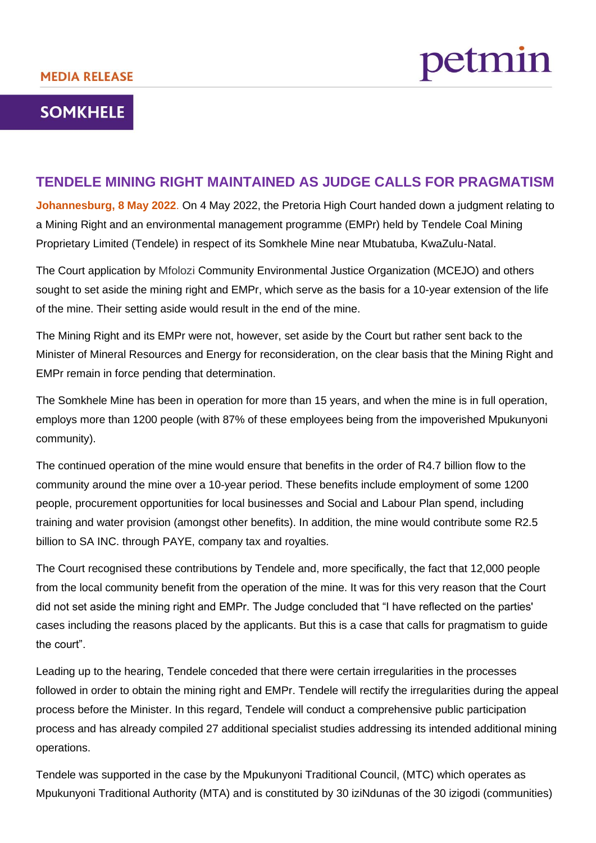## **SOMKHELE**

## **TENDELE MINING RIGHT MAINTAINED AS JUDGE CALLS FOR PRAGMATISM**

**Johannesburg, 8 May 2022**. On 4 May 2022, the Pretoria High Court handed down a judgment relating to a Mining Right and an environmental management programme (EMPr) held by Tendele Coal Mining Proprietary Limited (Tendele) in respect of its Somkhele Mine near Mtubatuba, KwaZulu-Natal.

The Court application by Mfolozi Community Environmental Justice Organization (MCEJO) and others sought to set aside the mining right and EMPr, which serve as the basis for a 10-year extension of the life of the mine. Their setting aside would result in the end of the mine.

The Mining Right and its EMPr were not, however, set aside by the Court but rather sent back to the Minister of Mineral Resources and Energy for reconsideration, on the clear basis that the Mining Right and EMPr remain in force pending that determination.

The Somkhele Mine has been in operation for more than 15 years, and when the mine is in full operation, employs more than 1200 people (with 87% of these employees being from the impoverished Mpukunyoni community).

The continued operation of the mine would ensure that benefits in the order of R4.7 billion flow to the community around the mine over a 10-year period. These benefits include employment of some 1200 people, procurement opportunities for local businesses and Social and Labour Plan spend, including training and water provision (amongst other benefits). In addition, the mine would contribute some R2.5 billion to SA INC. through PAYE, company tax and royalties.

The Court recognised these contributions by Tendele and, more specifically, the fact that 12,000 people from the local community benefit from the operation of the mine. It was for this very reason that the Court did not set aside the mining right and EMPr. The Judge concluded that "I have reflected on the parties' cases including the reasons placed by the applicants. But this is a case that calls for pragmatism to guide the court".

Leading up to the hearing, Tendele conceded that there were certain irregularities in the processes followed in order to obtain the mining right and EMPr. Tendele will rectify the irregularities during the appeal process before the Minister. In this regard, Tendele will conduct a comprehensive public participation process and has already compiled 27 additional specialist studies addressing its intended additional mining operations.

Tendele was supported in the case by the Mpukunyoni Traditional Council, (MTC) which operates as Mpukunyoni Traditional Authority (MTA) and is constituted by 30 iziNdunas of the 30 izigodi (communities)